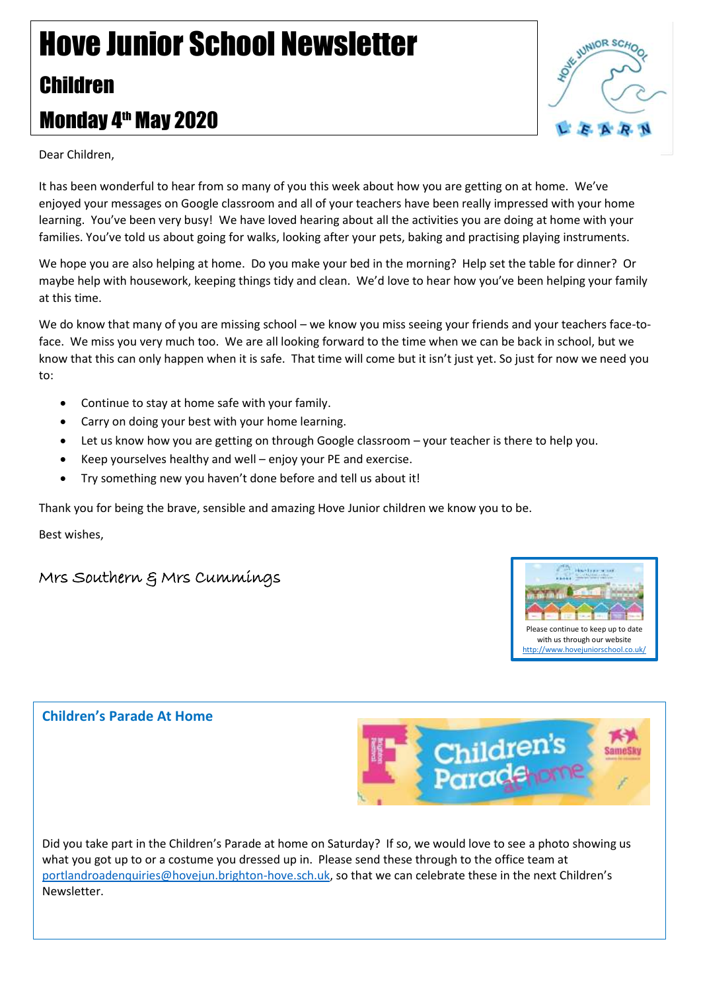# Hove Junior School Newsletter Children Monday 4<sup>th</sup> May 2020



Dear Children,

It has been wonderful to hear from so many of you this week about how you are getting on at home. We've enjoyed your messages on Google classroom and all of your teachers have been really impressed with your home learning. You've been very busy! We have loved hearing about all the activities you are doing at home with your families. You've told us about going for walks, looking after your pets, baking and practising playing instruments.

We hope you are also helping at home. Do you make your bed in the morning? Help set the table for dinner? Or maybe help with housework, keeping things tidy and clean. We'd love to hear how you've been helping your family at this time.

We do know that many of you are missing school – we know you miss seeing your friends and your teachers face-toface. We miss you very much too. We are all looking forward to the time when we can be back in school, but we know that this can only happen when it is safe. That time will come but it isn't just yet. So just for now we need you to:

- Continue to stay at home safe with your family.
- Carry on doing your best with your home learning.
- Let us know how you are getting on through Google classroom your teacher is there to help you.
- Keep yourselves healthy and well enjoy your PE and exercise.
- Try something new you haven't done before and tell us about it!

Thank you for being the brave, sensible and amazing Hove Junior children we know you to be.

Best wishes,

## Mrs Southern & Mrs Cummings



### **Children's Parade At Home**



Did you take part in the Children's Parade at home on Saturday? If so, we would love to see a photo showing us what you got up to or a costume you dressed up in. Please send these through to the office team at [portlandroadenquiries@hovejun.brighton-hove.sch.uk,](mailto:portlandroadenquiries@hovejun.brighton-hove.sch.uk) so that we can celebrate these in the next Children's Newsletter.